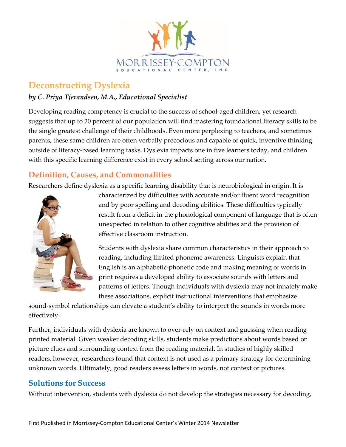

## **Deconstructing Dyslexia**

## *by C. Priya Tjerandsen, M.A., Educational Specialist*

Developing reading competency is crucial to the success of school-aged children, yet research suggests that up to 20 percent of our population will find mastering foundational literacy skills to be the single greatest challenge of their childhoods. Even more perplexing to teachers, and sometimes parents, these same children are often verbally precocious and capable of quick, inventive thinking outside of literacy-based learning tasks. Dyslexia impacts one in five learners today, and children with this specific learning difference exist in every school setting across our nation.

## **Definition, Causes, and Commonalities**

Researchers define dyslexia as a specific learning disability that is neurobiological in origin. It is



characterized by difficulties with accurate and/or fluent word recognition and by poor spelling and decoding abilities. These difficulties typically result from a deficit in the phonological component of language that is often unexpected in relation to other cognitive abilities and the provision of effective classroom instruction.

Students with dyslexia share common characteristics in their approach to reading, including limited phoneme awareness. Linguists explain that English is an alphabetic-phonetic code and making meaning of words in print requires a developed ability to associate sounds with letters and patterns of letters. Though individuals with dyslexia may not innately make these associations, explicit instructional interventions that emphasize

sound-symbol relationships can elevate a student's ability to interpret the sounds in words more effectively.

Further, individuals with dyslexia are known to over-rely on context and guessing when reading printed material. Given weaker decoding skills, students make predictions about words based on picture clues and surrounding context from the reading material. In studies of highly skilled readers, however, researchers found that context is not used as a primary strategy for determining unknown words. Ultimately, good readers assess letters in words, not context or pictures.

## **Solutions for Success**

Without intervention, students with dyslexia do not develop the strategies necessary for decoding,